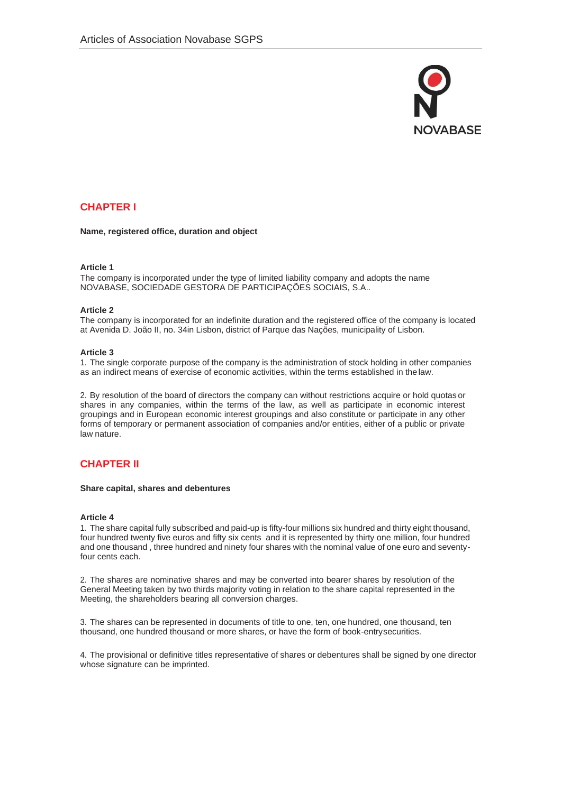

# **CHAPTER I**

**Name, registered office, duration and object**

# **Article 1**

The company is incorporated under the type of limited liability company and adopts the name NOVABASE, SOCIEDADE GESTORA DE PARTICIPAÇÕES SOCIAIS, S.A..

# **Article 2**

The company is incorporated for an indefinite duration and the registered office of the company is located at Avenida D. João II, no. 34in Lisbon, district of Parque das Nações, municipality of Lisbon.

# **Article 3**

1. The single corporate purpose of the company is the administration of stock holding in other companies as an indirect means of exercise of economic activities, within the terms established in the law.

2. By resolution of the board of directors the company can without restrictions acquire or hold quotas or shares in any companies, within the terms of the law, as well as participate in economic interest groupings and in European economic interest groupings and also constitute or participate in any other forms of temporary or permanent association of companies and/or entities, either of a public or private law nature.

# **CHAPTER II**

# **Share capital, shares and debentures**

# **Article 4**

1. The share capital fully subscribed and paid-up is fifty-four millions six hundred and thirty eight thousand, four hundred twenty five euros and fifty six cents and it is represented by thirty one million, four hundred and one thousand , three hundred and ninety four shares with the nominal value of one euro and seventyfour cents each.

2. The shares are nominative shares and may be converted into bearer shares by resolution of the General Meeting taken by two thirds majority voting in relation to the share capital represented in the Meeting, the shareholders bearing all conversion charges.

3. The shares can be represented in documents of title to one, ten, one hundred, one thousand, ten thousand, one hundred thousand or more shares, or have the form of book-entrysecurities.

4. The provisional or definitive titles representative of shares or debentures shall be signed by one director whose signature can be imprinted.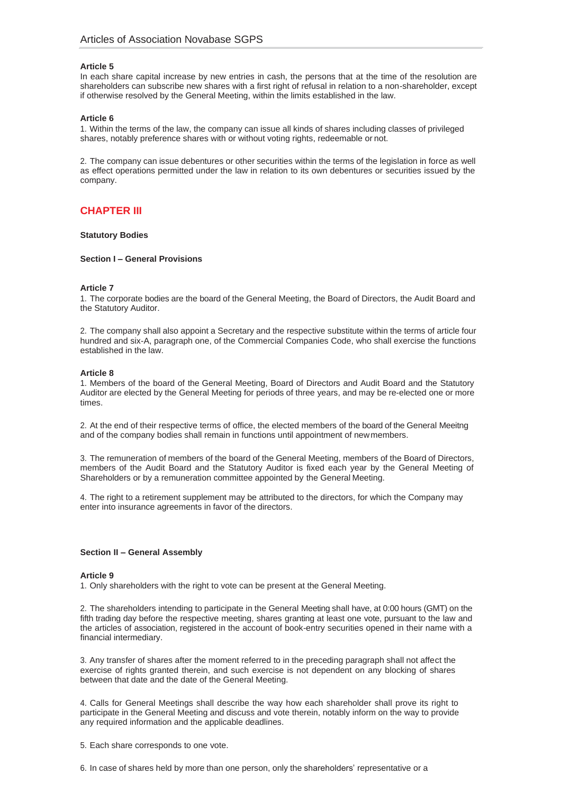### **Article 5**

In each share capital increase by new entries in cash, the persons that at the time of the resolution are shareholders can subscribe new shares with a first right of refusal in relation to a non-shareholder, except if otherwise resolved by the General Meeting, within the limits established in the law.

#### **Article 6**

1. Within the terms of the law, the company can issue all kinds of shares including classes of privileged shares, notably preference shares with or without voting rights, redeemable or not.

2. The company can issue debentures or other securities within the terms of the legislation in force as well as effect operations permitted under the law in relation to its own debentures or securities issued by the company.

# **CHAPTER III**

### **Statutory Bodies**

### **Section I – General Provisions**

#### **Article 7**

1. The corporate bodies are the board of the General Meeting, the Board of Directors, the Audit Board and the Statutory Auditor.

2. The company shall also appoint a Secretary and the respective substitute within the terms of article four hundred and six-A, paragraph one, of the Commercial Companies Code, who shall exercise the functions established in the law.

### **Article 8**

1. Members of the board of the General Meeting, Board of Directors and Audit Board and the Statutory Auditor are elected by the General Meeting for periods of three years, and may be re-elected one or more times.

2. At the end of their respective terms of office, the elected members of the board of the General Meeitng and of the company bodies shall remain in functions until appointment of newmembers.

3. The remuneration of members of the board of the General Meeting, members of the Board of Directors, members of the Audit Board and the Statutory Auditor is fixed each year by the General Meeting of Shareholders or by a remuneration committee appointed by the General Meeting.

4. The right to a retirement supplement may be attributed to the directors, for which the Company may enter into insurance agreements in favor of the directors.

#### **Section II – General Assembly**

#### **Article 9**

1. Only shareholders with the right to vote can be present at the General Meeting.

2. The shareholders intending to participate in the General Meeting shall have, at 0:00 hours (GMT) on the fifth trading day before the respective meeting, shares granting at least one vote, pursuant to the law and the articles of association, registered in the account of book-entry securities opened in their name with a financial intermediary.

3. Any transfer of shares after the moment referred to in the preceding paragraph shall not affect the exercise of rights granted therein, and such exercise is not dependent on any blocking of shares between that date and the date of the General Meeting.

4. Calls for General Meetings shall describe the way how each shareholder shall prove its right to participate in the General Meeting and discuss and vote therein, notably inform on the way to provide any required information and the applicable deadlines.

5. Each share corresponds to one vote.

6. In case of shares held by more than one person, only the shareholders' representative or a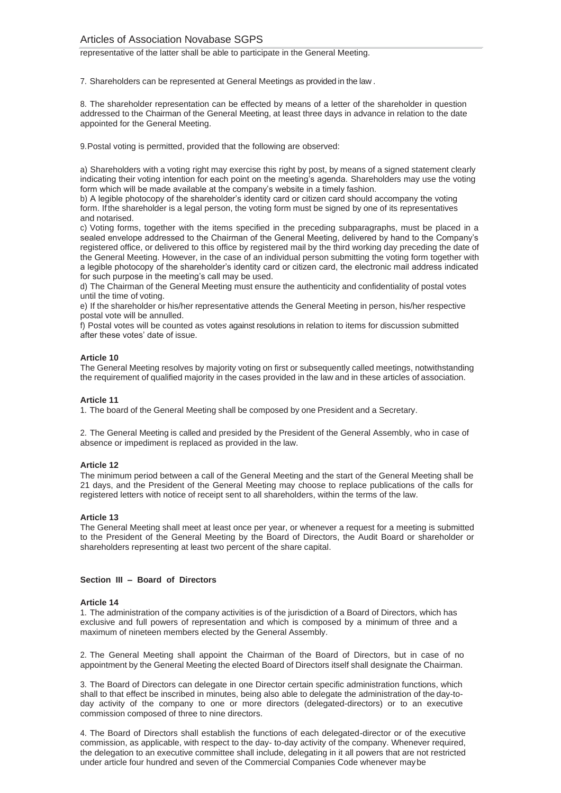representative of the latter shall be able to participate in the General Meeting.

7. Shareholders can be represented at General Meetings as provided in the law .

8. The shareholder representation can be effected by means of a letter of the shareholder in question addressed to the Chairman of the General Meeting, at least three days in advance in relation to the date appointed for the General Meeting.

9.Postal voting is permitted, provided that the following are observed:

a) Shareholders with a voting right may exercise this right by post, by means of a signed statement clearly indicating their voting intention for each point on the meeting's agenda. Shareholders may use the voting form which will be made available at the company's website in a timely fashion.

b) A legible photocopy of the shareholder's identity card or citizen card should accompany the voting form. Ifthe shareholder is a legal person, the voting form must be signed by one of its representatives and notarised.

c) Voting forms, together with the items specified in the preceding subparagraphs, must be placed in a sealed envelope addressed to the Chairman of the General Meeting, delivered by hand to the Company's registered office, or delivered to this office by registered mail by the third working day preceding the date of the General Meeting. However, in the case of an individual person submitting the voting form together with a legible photocopy of the shareholder's identity card or citizen card, the electronic mail address indicated for such purpose in the meeting's call may be used.

d) The Chairman of the General Meeting must ensure the authenticity and confidentiality of postal votes until the time of voting.

e) If the shareholder or his/her representative attends the General Meeting in person, his/her respective postal vote will be annulled.

f) Postal votes will be counted as votes against resolutions in relation to items for discussion submitted after these votes' date of issue.

### **Article 10**

The General Meeting resolves by majority voting on first or subsequently called meetings, notwithstanding the requirement of qualified majority in the cases provided in the law and in these articles of association.

#### **Article 11**

1. The board of the General Meeting shall be composed by one President and a Secretary.

2. The General Meeting is called and presided by the President of the General Assembly, who in case of absence or impediment is replaced as provided in the law.

### **Article 12**

The minimum period between a call of the General Meeting and the start of the General Meeting shall be 21 days, and the President of the General Meeting may choose to replace publications of the calls for registered letters with notice of receipt sent to all shareholders, within the terms of the law.

#### **Article 13**

The General Meeting shall meet at least once per year, or whenever a request for a meeting is submitted to the President of the General Meeting by the Board of Directors, the Audit Board or shareholder or shareholders representing at least two percent of the share capital.

#### **Section III – Board of Directors**

#### **Article 14**

1. The administration of the company activities is of the jurisdiction of a Board of Directors, which has exclusive and full powers of representation and which is composed by a minimum of three and a maximum of nineteen members elected by the General Assembly.

2. The General Meeting shall appoint the Chairman of the Board of Directors, but in case of no appointment by the General Meeting the elected Board of Directors itself shall designate the Chairman.

3. The Board of Directors can delegate in one Director certain specific administration functions, which shall to that effect be inscribed in minutes, being also able to delegate the administration of the day-today activity of the company to one or more directors (delegated-directors) or to an executive commission composed of three to nine directors.

4. The Board of Directors shall establish the functions of each delegated-director or of the executive commission, as applicable, with respect to the day- to-day activity of the company. Whenever required, the delegation to an executive committee shall include, delegating in it all powers that are not restricted under article four hundred and seven of the Commercial Companies Code whenever maybe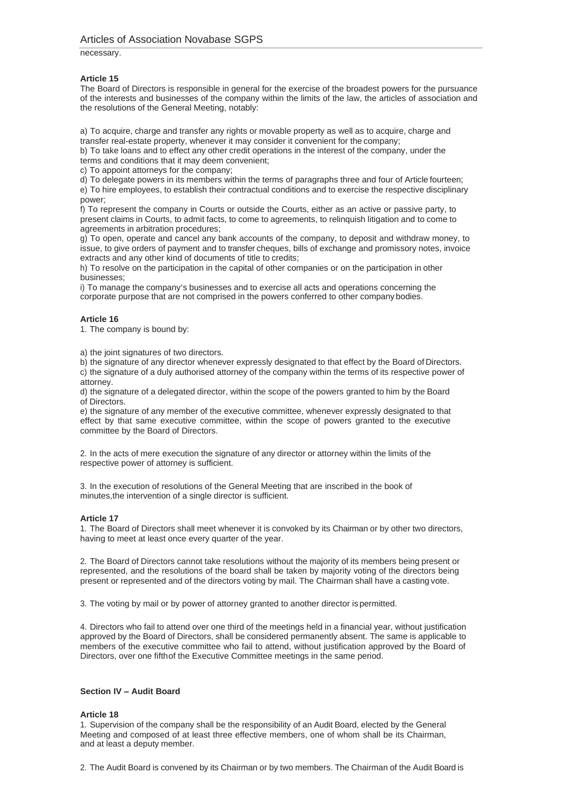necessary.

# **Article 15**

The Board of Directors is responsible in general for the exercise of the broadest powers for the pursuance of the interests and businesses of the company within the limits of the law, the articles of association and the resolutions of the General Meeting, notably:

a) To acquire, charge and transfer any rights or movable property as well as to acquire, charge and transfer real-estate property, whenever it may consider it convenient for the company;

b) To take loans and to effect any other credit operations in the interest of the company, under the terms and conditions that it may deem convenient;

c) To appoint attorneys for the company;

d) To delegate powers in its members within the terms of paragraphs three and four of Article fourteen; e) To hire employees, to establish their contractual conditions and to exercise the respective disciplinary power;

f) To represent the company in Courts or outside the Courts, either as an active or passive party, to present claims in Courts, to admit facts, to come to agreements, to relinquish litigation and to come to agreements in arbitration procedures;

g) To open, operate and cancel any bank accounts of the company, to deposit and withdraw money, to issue, to give orders of payment and to transfer cheques, bills of exchange and promissory notes, invoice extracts and any other kind of documents of title to credits;

h) To resolve on the participation in the capital of other companies or on the participation in other businesses;

i) To manage the company's businesses and to exercise all acts and operations concerning the corporate purpose that are not comprised in the powers conferred to other company bodies.

# **Article 16**

1. The company is bound by:

a) the joint signatures of two directors.

b) the signature of any director whenever expressly designated to that effect by the Board of Directors. c) the signature of a duly authorised attorney of the company within the terms of its respective power of

attorney.

d) the signature of a delegated director, within the scope of the powers granted to him by the Board of Directors.

e) the signature of any member of the executive committee, whenever expressly designated to that effect by that same executive committee, within the scope of powers granted to the executive committee by the Board of Directors.

2. In the acts of mere execution the signature of any director or attorney within the limits of the respective power of attorney is sufficient.

3. In the execution of resolutions of the General Meeting that are inscribed in the book of minutes,the intervention of a single director is sufficient.

# **Article 17**

1. The Board of Directors shall meet whenever it is convoked by its Chairman or by other two directors, having to meet at least once every quarter of the year.

2. The Board of Directors cannot take resolutions without the majority of its members being present or represented, and the resolutions of the board shall be taken by majority voting of the directors being present or represented and of the directors voting by mail. The Chairman shall have a casting vote.

3. The voting by mail or by power of attorney granted to another director ispermitted.

4. Directors who fail to attend over one third of the meetings held in a financial year, without justification approved by the Board of Directors, shall be considered permanently absent. The same is applicable to members of the executive committee who fail to attend, without justification approved by the Board of Directors, over one fifthof the Executive Committee meetings in the same period.

# **Section IV – Audit Board**

# **Article 18**

1. Supervision of the company shall be the responsibility of an Audit Board, elected by the General Meeting and composed of at least three effective members, one of whom shall be its Chairman, and at least a deputy member.

2. The Audit Board is convened by its Chairman or by two members. The Chairman of the Audit Board is